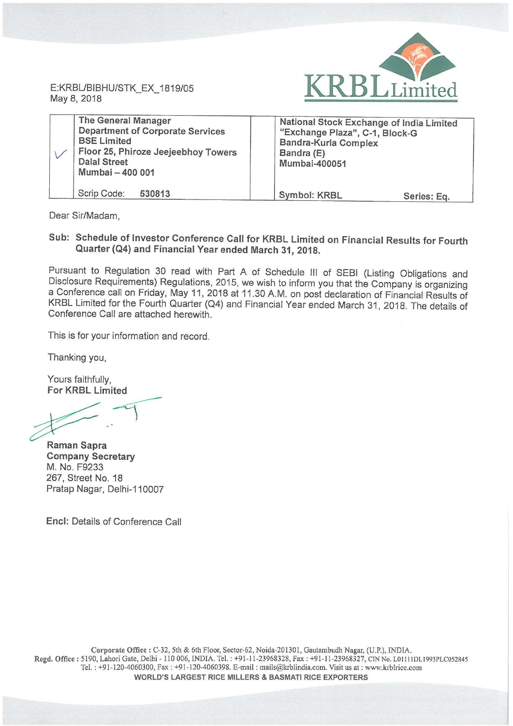

May 8, 2018

| <b>The General Manager</b><br><b>Department of Corporate Services</b><br><b>BSE Limited</b><br>Floor 25, Phiroze Jeejeebhoy Towers<br><b>Dalal Street</b><br>Mumbai - 400 001 | National Stock Exchange of India Limited<br>"Exchange Plaza", C-1, Block-G<br><b>Bandra-Kurla Complex</b><br>Bandra (E)<br>Mumbai-400051 |             |
|-------------------------------------------------------------------------------------------------------------------------------------------------------------------------------|------------------------------------------------------------------------------------------------------------------------------------------|-------------|
| Scrip Code:<br>530813                                                                                                                                                         | Symbol: KRBL                                                                                                                             | Series: Eq. |

Dear Sir/Madam,

#### Sub: Schedule of Investor Conference Call for KRBL Limited on Financial Results for Fourth Quarter (Q4) and Financial Year ended March 31, 2018.

Pursuant to Regulation <sup>30</sup> read with Part <sup>A</sup> of Schedule III of SEBI (Listing Obligations and Disclosure Requirements) Regulations, 2015, we wish to inform you that the Company is organizing <sup>a</sup> Conference call on Friday, May 11, <sup>2018</sup> at 11.30 AM. on post declaration of Financial Results of KRBL Limited for the Fourth Quarter (Q4) and Financial Year ended March 31, 2018. The details of Conference Call are attached herewith.

This is for your information and record.

Thanking you,

Yours faithfully, For KRBL Limited

 $\frac{4}{\sqrt{2}}$ 

Raman Sapra Company Secretary M. No: F9233 267, Street No. 18 Pratap Nagar, Delhi—110007

Encl: Details of Conference Call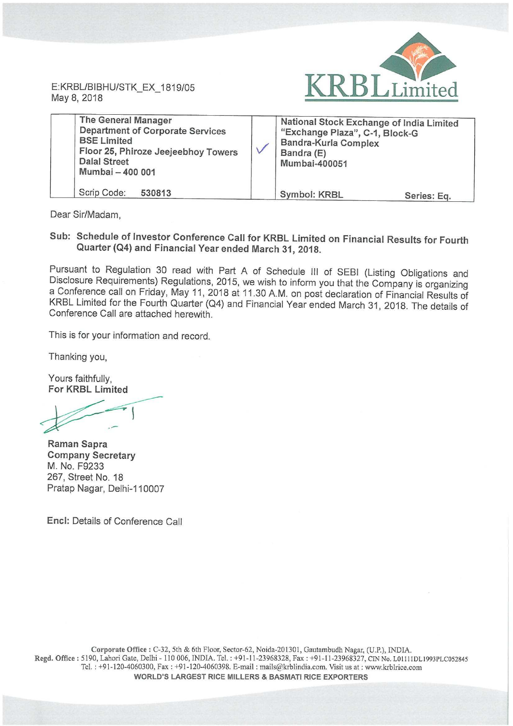E: KRBL/BIBHU/STK\_EX\_1 May 8, 2018



| <b>The General Manager</b><br><b>Department of Corporate Services</b><br><b>BSE Limited</b><br>Floor 25, Phiroze Jeejeebhoy Towers<br><b>Dalal Street</b><br>Mumbai - 400 001 |  | National Stock Exchange of India Limited<br>"Exchange Plaza", C-1, Block-G<br><b>Bandra-Kurla Complex</b><br>Bandra (E)<br><b>Mumbai-400051</b> |             |
|-------------------------------------------------------------------------------------------------------------------------------------------------------------------------------|--|-------------------------------------------------------------------------------------------------------------------------------------------------|-------------|
| Scrip Code:<br>530813                                                                                                                                                         |  | <b>Symbol: KRBL</b>                                                                                                                             | Series: Eq. |

Dear Sir/Madam,

### Sub: Schedule of Investor Conference Call for KRBL Limited on Financial Results for Fourth Quarter (Q4) and Financial Year ended March 31, 2018.

Pursuant to Regulation <sup>30</sup> read with Part <sup>A</sup> of Schedule III of SEBI (Listing Obligations and Disclosure Requirements) Regulations, 2015, we wish to inform you that the Company is organizing <sup>a</sup> Conference call on Friday, May 11, <sup>2018</sup> at 11.30 AM. on post declaration of Financial Results of KRBL Limited for the Fourth Quarter (Q4) and Financial Year ended March 31, 2018. The details of Conference Call are attached herewith.

This is for your information and record.

Thanking you,

Yours faithfully, For KRBL Limited

Raman Sapra Company Secretary M. No. F9233 267, Street No. 18 Pratap Nagar, Delhi-110007

Encl: Details of Conference Call